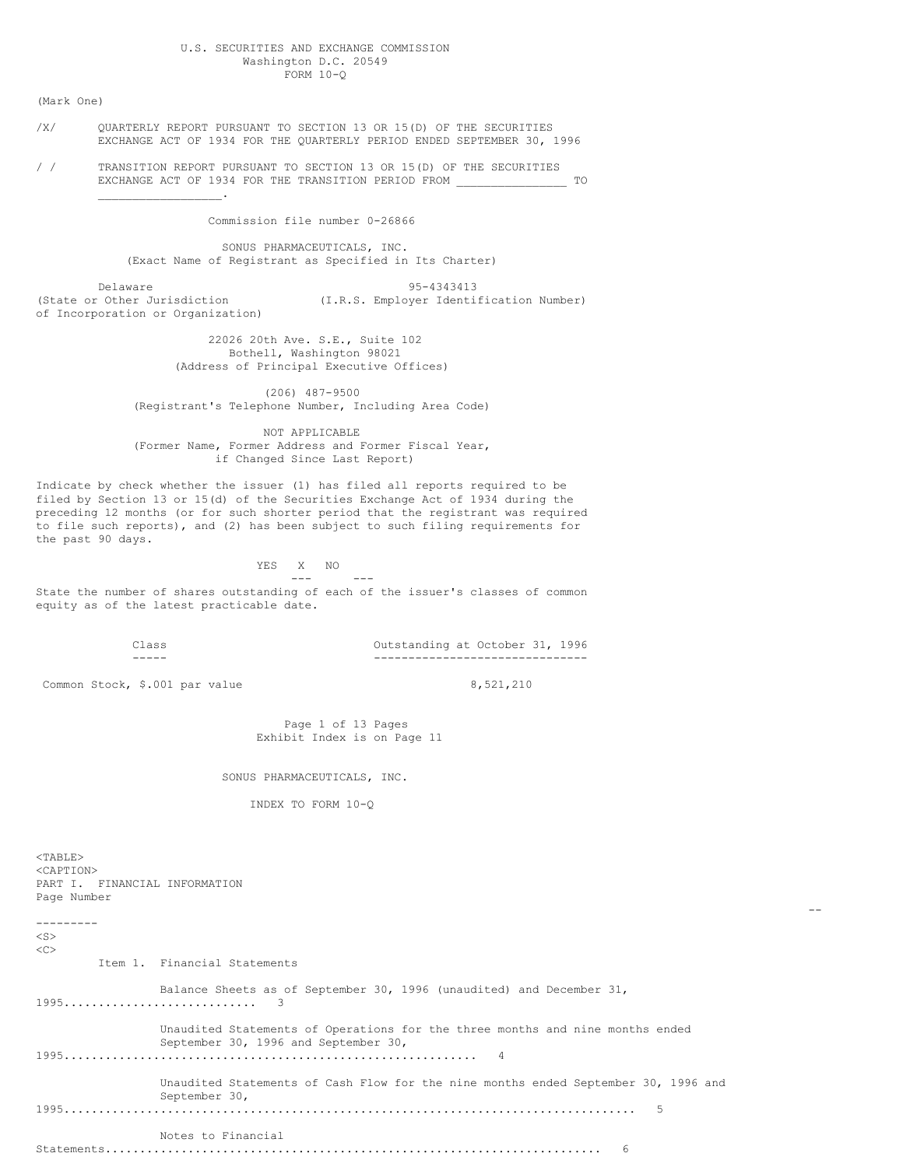### U.S. SECURITIES AND EXCHANGE COMMISSION Washington D.C. 20549 FORM 10-Q

(Mark One)

- /X/ QUARTERLY REPORT PURSUANT TO SECTION 13 OR 15(D) OF THE SECURITIES EXCHANGE ACT OF 1934 FOR THE QUARTERLY PERIOD ENDED SEPTEMBER 30, 1996
- / / TRANSITION REPORT PURSUANT TO SECTION 13 OR 15(D) OF THE SECURITIES EXCHANGE ACT OF 1934 FOR THE TRANSITION PERIOD FROM TO  $\mathcal{L}=\mathcal{L}=\mathcal{L}=\mathcal{L}=\mathcal{L}=\mathcal{L}=\mathcal{L}=\mathcal{L}=\mathcal{L}=\mathcal{L}=\mathcal{L}=\mathcal{L}=\mathcal{L}=\mathcal{L}=\mathcal{L}=\mathcal{L}=\mathcal{L}=\mathcal{L}=\mathcal{L}=\mathcal{L}=\mathcal{L}=\mathcal{L}=\mathcal{L}=\mathcal{L}=\mathcal{L}=\mathcal{L}=\mathcal{L}=\mathcal{L}=\mathcal{L}=\mathcal{L}=\mathcal{L}=\mathcal{L}=\mathcal{L}=\mathcal{L}=\mathcal{L}=\mathcal{L}=\mathcal{$

Commission file number 0-26866

SONUS PHARMACEUTICALS, INC. (Exact Name of Registrant as Specified in Its Charter)

Delaware 95-4343413<br>(State or Other Jurisdiction (I.R.S. Employer Identi) (I.R.S. Employer Identification Number) of Incorporation or Organization)

> 22026 20th Ave. S.E., Suite 102 Bothell, Washington 98021 (Address of Principal Executive Offices)

(206) 487-9500 (Registrant's Telephone Number, Including Area Code)

NOT APPLICABLE (Former Name, Former Address and Former Fiscal Year, if Changed Since Last Report)

Indicate by check whether the issuer (1) has filed all reports required to be filed by Section 13 or 15(d) of the Securities Exchange Act of 1934 during the preceding 12 months (or for such shorter period that the registrant was required to file such reports), and (2) has been subject to such filing requirements for the past 90 days.

YES X NO

State the number of shares outstanding of each of the issuer's classes of common equity as of the latest practicable date.

--- ---

Class Outstanding at October 31, 1996 ----- -------------------------------

Common Stock,  $$.001$  par value 8,521,210

--

Page 1 of 13 Pages Exhibit Index is on Page 11

SONUS PHARMACEUTICALS, INC.

INDEX TO FORM 10-Q

 $<$ TABLE> <CAPTION> PART I. FINANCIAL INFORMATION Page Number

| $<$ S $>$<br>$<\infty$ |                                                                                                                       |
|------------------------|-----------------------------------------------------------------------------------------------------------------------|
|                        | Item 1. Financial Statements                                                                                          |
|                        | Balance Sheets as of September 30, 1996 (unaudited) and December 31,                                                  |
|                        | Unaudited Statements of Operations for the three months and nine months ended<br>September 30, 1996 and September 30, |
|                        | Unaudited Statements of Cash Flow for the nine months ended September 30, 1996 and<br>September 30,                   |
|                        | Notes to Financial                                                                                                    |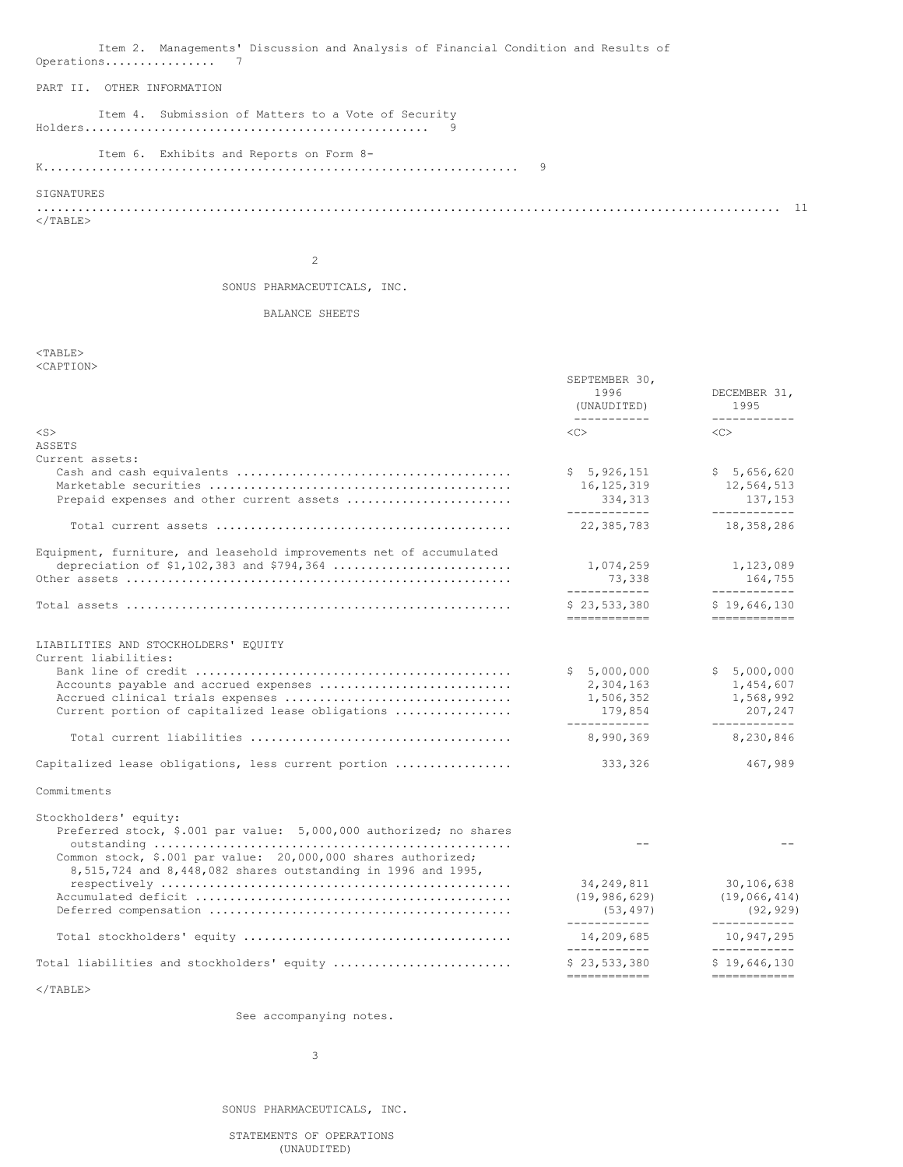Item 2. Managements' Discussion and Analysis of Financial Condition and Results of Operations................ 7

## PART II. OTHER INFORMATION

### Item 4. Submission of Matters to a Vote of Security Holders.................................................. 9

Item 6. Exhibits and Reports on Form 8-

K..................................................................... 9

SIGNATURES

............................................................................................................ 11

 $\langle$  TABLE $>$ 

2

### SONUS PHARMACEUTICALS, INC.

## BALANCE SHEETS

 $<$ TABLE $>$ <CAPTION>

|                                                                     | SEPTEMBER 30,<br>1996<br>(UNAUDITED)<br>------------ | DECEMBER 31,<br>1995<br>------------- |
|---------------------------------------------------------------------|------------------------------------------------------|---------------------------------------|
| $<$ S $>$                                                           | <<>                                                  | $<<$ $>>$                             |
| ASSETS                                                              |                                                      |                                       |
| Current assets:                                                     |                                                      |                                       |
|                                                                     | \$5,926,151<br>16, 125, 319                          | \$5,656,620<br>12,564,513             |
| Prepaid expenses and other current assets                           | 334,313                                              | 137,153                               |
|                                                                     | ------------                                         | ------------                          |
|                                                                     | 22,385,783                                           | 18,358,286                            |
| Equipment, furniture, and leasehold improvements net of accumulated |                                                      |                                       |
| depreciation of \$1,102,383 and \$794,364                           | 1,074,259                                            | 1,123,089                             |
|                                                                     | 73,338<br>-------------                              | 164,755<br>____________               |
|                                                                     | \$23,533,380                                         | \$19,646,130                          |
|                                                                     | ============                                         | ============                          |
| LIABILITIES AND STOCKHOLDERS' EQUITY                                |                                                      |                                       |
| Current liabilities:                                                |                                                      |                                       |
| Accounts payable and accrued expenses                               | \$5,000,000<br>2,304,163                             | \$5,000,000<br>1,454,607              |
|                                                                     | 1,506,352                                            | 1,568,992                             |
| Current portion of capitalized lease obligations                    | 179,854                                              | 207,247                               |
|                                                                     | -------------                                        | _____________                         |
|                                                                     | 8,990,369                                            | 8,230,846                             |
| Capitalized lease obligations, less current portion                 | 333,326                                              | 467,989                               |
| Commitments                                                         |                                                      |                                       |
| Stockholders' equity:                                               |                                                      |                                       |
| Preferred stock, \$.001 par value: 5,000,000 authorized; no shares  |                                                      |                                       |
|                                                                     |                                                      |                                       |
| Common stock, \$.001 par value: 20,000,000 shares authorized;       |                                                      |                                       |
| 8,515,724 and 8,448,082 shares outstanding in 1996 and 1995,        |                                                      |                                       |
|                                                                     | 34,249,811                                           | 30,106,638                            |
|                                                                     | (19, 986, 629)                                       | (19, 066, 414)                        |
|                                                                     | (53, 497)<br>-------------                           | (92, 929)<br>------------             |
|                                                                     | 14,209,685                                           | 10,947,295                            |
| Total liabilities and stockholders' equity                          | ____________<br>\$23,533,380                         | ____________<br>\$19,646,130          |
|                                                                     | ============                                         | -------------                         |

 $<$ /TABLE>

See accompanying notes.

SONUS PHARMACEUTICALS, INC.

STATEMENTS OF OPERATIONS (UNAUDITED)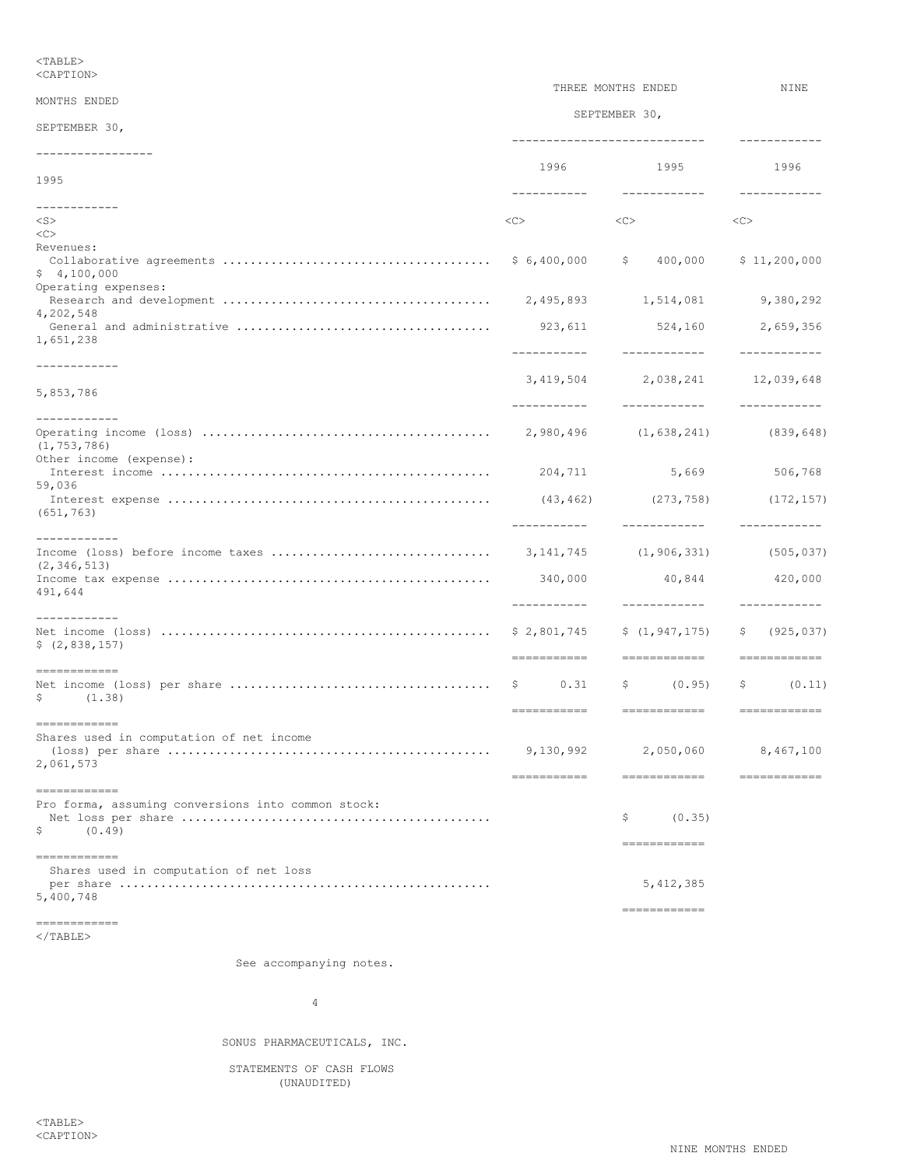<CAPTION> THREE MONTHS ENDED NINE MONTHS ENDED SEPTEMBER 30, SEPTEMBER 30, ---------------------------- ------------ ----------------- 1996 1995 1996 1995 ----------- ------------ ------------ ------------ <S> <C> <C> <C>  $\langle C \rangle$ Revenues: Collaborative agreements ....................................... \$ 6,400,000 \$ 400,000 \$ 11,200,000 \$ 4,100,000 Operating expenses: Research and development ....................................... 2,495,893 1,514,081 9,380,292 4,202,548 General and administrative ..................................... 923,611 524,160 2,659,356 1,651,238 ----------- ------------ ------------ ------------ 3,419,504 2,038,241 12,039,648 5,853,786 ----------- ------------ ------------ ------------ Operating income (loss) .......................................... 2,980,496 (1,638,241) (839,648) (1,753,786) Other income (expense): Interest income ................................................ 204,711 5,669 506,768 59,036 Interest expense ............................................... (43,462) (273,758) (172,157) (651,763) ----------- ------------ ------------ ------------ Income (loss) before income taxes ................................ 3,141,745 (1,906,331) (505,037) (2,346,513) Income tax expense ............................................... 340,000 40,844 420,000 491,644 ----------- ------------ ------------ ------------ Net income (loss) ................................................ \$ 2,801,745 \$ (1,947,175) \$ (925,037) \$ (2,838,157) =========== ============ ============ ============ Net income (loss) per share  $\dots\dots\dots\dots\dots\dots\dots\dots\dots\dots\dots\dots$  \$ 0.31 \$ (0.95) \$ (0.11) \$ (1.38) =========== ============ ============ ============ Shares used in computation of net income (loss) per share ............................................... 9,130,992 2,050,060 8,467,100 2,061,573 =========== ============ ============ ============ Pro forma, assuming conversions into common stock: Net loss per share ............................................. \$ (0.35) \$ (0.49) ============ ============ Shares used in computation of net loss per share ...................................................... 5,412,385 5,400,748 ============

============ </TABLE>

 $<$ TABLE>

See accompanying notes.

4

SONUS PHARMACEUTICALS, INC.

STATEMENTS OF CASH FLOWS (UNAUDITED)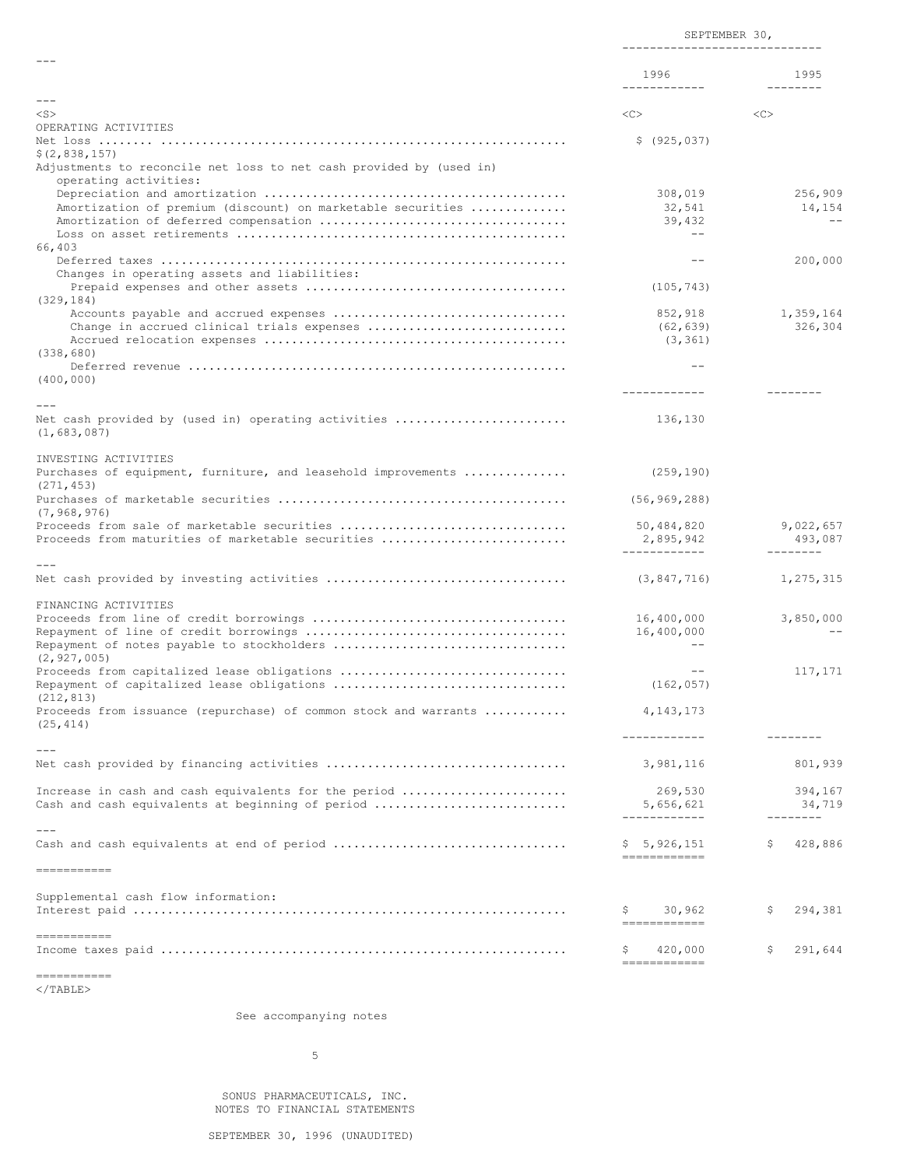|                                                                                                               | SEPTEMBER 30,<br>------------                    |                                           |
|---------------------------------------------------------------------------------------------------------------|--------------------------------------------------|-------------------------------------------|
|                                                                                                               | 1996<br>-------------                            | 1995<br>$- - - - - - - -$                 |
|                                                                                                               |                                                  |                                           |
| $<$ S $>$                                                                                                     | <<                                               | <<                                        |
| OPERATING ACTIVITIES                                                                                          | \$ (925, 037)                                    |                                           |
| \$(2,838,157)<br>Adjustments to reconcile net loss to net cash provided by (used in)<br>operating activities: |                                                  |                                           |
| Amortization of premium (discount) on marketable securities                                                   | 308,019<br>32,541<br>39,432<br>$\qquad \qquad -$ | 256,909<br>14,154<br>$ -$                 |
| 66,403                                                                                                        | $- -$                                            | 200,000                                   |
| Changes in operating assets and liabilities:                                                                  | (105, 743)                                       |                                           |
| (329, 184)                                                                                                    |                                                  | 1,359,164                                 |
| Change in accrued clinical trials expenses                                                                    | 852,918<br>(62, 639)<br>(3, 361)                 | 326,304                                   |
| (338, 680)                                                                                                    |                                                  |                                           |
| (400, 000)                                                                                                    |                                                  |                                           |
| Net cash provided by (used in) operating activities<br>(1, 683, 087)                                          | 136,130                                          |                                           |
| INVESTING ACTIVITIES<br>Purchases of equipment, furniture, and leasehold improvements                         | (259, 190)                                       |                                           |
| (271, 453)<br>(7, 968, 976)                                                                                   | (56, 969, 288)                                   |                                           |
| Proceeds from sale of marketable securities<br>Proceeds from maturities of marketable securities              | 50,484,820<br>2,895,942<br>------------          | 9,022,657<br>493,087<br>$- - - - - - - -$ |
|                                                                                                               | (3, 847, 716)                                    | 1,275,315                                 |
| FINANCING ACTIVITIES                                                                                          | 16,400,000<br>16,400,000                         | 3,850,000                                 |
| (2, 927, 005)<br>Proceeds from capitalized lease obligations<br>(212, 813)                                    | $ -$<br>(162, 057)                               | 117,171                                   |
| Proceeds from issuance (repurchase) of common stock and warrants<br>(25, 414)                                 | 4, 143, 173<br>------------                      | $- - - - - - - -$                         |
|                                                                                                               | 3,981,116                                        | 801,939                                   |
| Increase in cash and cash equivalents for the period<br>Cash and cash equivalents at beginning of period      | 269,530<br>5,656,621<br>------------             | 394,167<br>34,719<br>--------             |
| ------------                                                                                                  | \$5,926,151<br>============                      | 428,886                                   |
| Supplemental cash flow information:                                                                           | 30,962<br>Ş<br>-------------                     | 294,381<br>Ş                              |
| ===========                                                                                                   | 420,000<br>S<br>============                     | 291,644<br>Ş                              |
| ===========                                                                                                   |                                                  |                                           |

 $<$ /TABLE>

See accompanying notes

5

SONUS PHARMACEUTICALS, INC. NOTES TO FINANCIAL STATEMENTS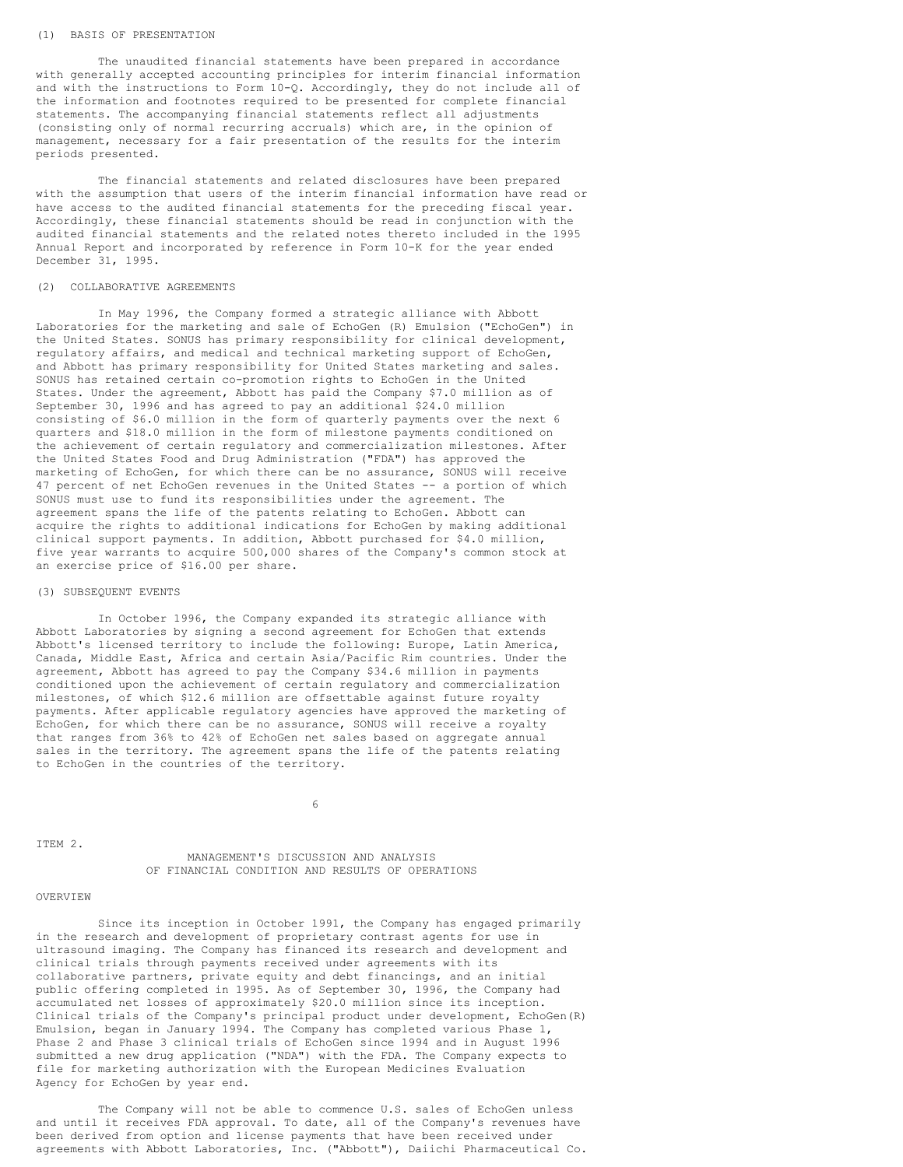#### (1) BASIS OF PRESENTATION

The unaudited financial statements have been prepared in accordance with generally accepted accounting principles for interim financial information and with the instructions to Form 10-Q. Accordingly, they do not include all of the information and footnotes required to be presented for complete financial statements. The accompanying financial statements reflect all adjustments (consisting only of normal recurring accruals) which are, in the opinion of management, necessary for a fair presentation of the results for the interim periods presented.

The financial statements and related disclosures have been prepared with the assumption that users of the interim financial information have read or have access to the audited financial statements for the preceding fiscal year. Accordingly, these financial statements should be read in conjunction with the audited financial statements and the related notes thereto included in the 1995 Annual Report and incorporated by reference in Form 10-K for the year ended December 31, 1995.

#### (2) COLLABORATIVE AGREEMENTS

In May 1996, the Company formed a strategic alliance with Abbott Laboratories for the marketing and sale of EchoGen (R) Emulsion ("EchoGen") in the United States. SONUS has primary responsibility for clinical development, regulatory affairs, and medical and technical marketing support of EchoGen, and Abbott has primary responsibility for United States marketing and sales. SONUS has retained certain co-promotion rights to EchoGen in the United States. Under the agreement, Abbott has paid the Company \$7.0 million as of September 30, 1996 and has agreed to pay an additional \$24.0 million consisting of \$6.0 million in the form of quarterly payments over the next 6 quarters and \$18.0 million in the form of milestone payments conditioned on the achievement of certain regulatory and commercialization milestones. After the United States Food and Drug Administration ("FDA") has approved the marketing of EchoGen, for which there can be no assurance, SONUS will receive 47 percent of net EchoGen revenues in the United States -- a portion of which SONUS must use to fund its responsibilities under the agreement. The agreement spans the life of the patents relating to EchoGen. Abbott can acquire the rights to additional indications for EchoGen by making additional clinical support payments. In addition, Abbott purchased for \$4.0 million, five year warrants to acquire 500,000 shares of the Company's common stock at an exercise price of \$16.00 per share.

#### (3) SUBSEQUENT EVENTS

In October 1996, the Company expanded its strategic alliance with Abbott Laboratories by signing a second agreement for EchoGen that extends Abbott's licensed territory to include the following: Europe, Latin America, Canada, Middle East, Africa and certain Asia/Pacific Rim countries. Under the agreement, Abbott has agreed to pay the Company \$34.6 million in payments conditioned upon the achievement of certain regulatory and commercialization milestones, of which \$12.6 million are offsettable against future royalty payments. After applicable regulatory agencies have approved the marketing of EchoGen, for which there can be no assurance, SONUS will receive a royalty that ranges from 36% to 42% of EchoGen net sales based on aggregate annual sales in the territory. The agreement spans the life of the patents relating to EchoGen in the countries of the territory.

ITEM 2.

## MANAGEMENT'S DISCUSSION AND ANALYSIS OF FINANCIAL CONDITION AND RESULTS OF OPERATIONS

6

#### OVERVIEW

Since its inception in October 1991, the Company has engaged primarily in the research and development of proprietary contrast agents for use in ultrasound imaging. The Company has financed its research and development and clinical trials through payments received under agreements with its collaborative partners, private equity and debt financings, and an initial public offering completed in 1995. As of September 30, 1996, the Company had accumulated net losses of approximately \$20.0 million since its inception. Clinical trials of the Company's principal product under development, EchoGen(R) Emulsion, began in January 1994. The Company has completed various Phase 1, Phase 2 and Phase 3 clinical trials of EchoGen since 1994 and in August 1996 submitted a new drug application ("NDA") with the FDA. The Company expects to file for marketing authorization with the European Medicines Evaluation Agency for EchoGen by year end.

The Company will not be able to commence U.S. sales of EchoGen unless and until it receives FDA approval. To date, all of the Company's revenues have been derived from option and license payments that have been received under agreements with Abbott Laboratories, Inc. ("Abbott"), Daiichi Pharmaceutical Co.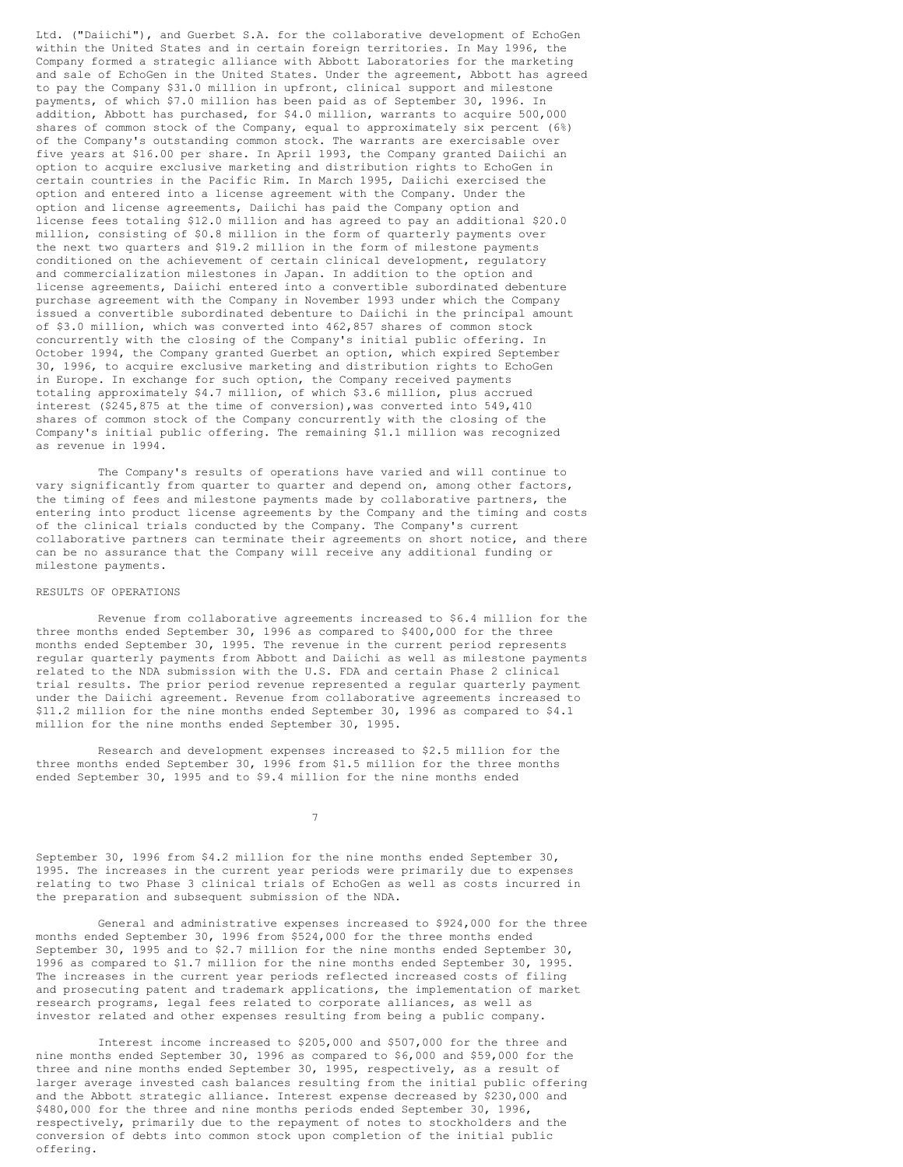Ltd. ("Daiichi"), and Guerbet S.A. for the collaborative development of EchoGen within the United States and in certain foreign territories. In May 1996, the Company formed a strategic alliance with Abbott Laboratories for the marketing and sale of EchoGen in the United States. Under the agreement, Abbott has agreed to pay the Company \$31.0 million in upfront, clinical support and milestone payments, of which \$7.0 million has been paid as of September 30, 1996. In addition, Abbott has purchased, for \$4.0 million, warrants to acquire 500,000 shares of common stock of the Company, equal to approximately six percent (6%) of the Company's outstanding common stock. The warrants are exercisable over five years at \$16.00 per share. In April 1993, the Company granted Daiichi an option to acquire exclusive marketing and distribution rights to EchoGen in certain countries in the Pacific Rim. In March 1995, Daiichi exercised the option and entered into a license agreement with the Company. Under the option and license agreements, Daiichi has paid the Company option and license fees totaling \$12.0 million and has agreed to pay an additional \$20.0 million, consisting of \$0.8 million in the form of quarterly payments over the next two quarters and \$19.2 million in the form of milestone payments conditioned on the achievement of certain clinical development, regulatory and commercialization milestones in Japan. In addition to the option and license agreements, Daiichi entered into a convertible subordinated debenture purchase agreement with the Company in November 1993 under which the Company issued a convertible subordinated debenture to Daiichi in the principal amount of \$3.0 million, which was converted into 462,857 shares of common stock concurrently with the closing of the Company's initial public offering. In October 1994, the Company granted Guerbet an option, which expired September 30, 1996, to acquire exclusive marketing and distribution rights to EchoGen in Europe. In exchange for such option, the Company received payments totaling approximately \$4.7 million, of which \$3.6 million, plus accrued interest (\$245,875 at the time of conversion),was converted into 549,410 shares of common stock of the Company concurrently with the closing of the Company's initial public offering. The remaining \$1.1 million was recognized as revenue in 1994.

The Company's results of operations have varied and will continue to vary significantly from quarter to quarter and depend on, among other factors, the timing of fees and milestone payments made by collaborative partners, the entering into product license agreements by the Company and the timing and costs of the clinical trials conducted by the Company. The Company's current collaborative partners can terminate their agreements on short notice, and there can be no assurance that the Company will receive any additional funding or milestone payments.

#### RESULTS OF OPERATIONS

Revenue from collaborative agreements increased to \$6.4 million for the three months ended September 30, 1996 as compared to \$400,000 for the three months ended September 30, 1995. The revenue in the current period represents regular quarterly payments from Abbott and Daiichi as well as milestone payments related to the NDA submission with the U.S. FDA and certain Phase 2 clinical trial results. The prior period revenue represented a regular quarterly payment under the Daiichi agreement. Revenue from collaborative agreements increased to \$11.2 million for the nine months ended September 30, 1996 as compared to \$4.1 million for the nine months ended September 30, 1995.

Research and development expenses increased to \$2.5 million for the three months ended September 30, 1996 from \$1.5 million for the three months ended September 30, 1995 and to \$9.4 million for the nine months ended

7

September 30, 1996 from \$4.2 million for the nine months ended September 30, 1995. The increases in the current year periods were primarily due to expenses relating to two Phase 3 clinical trials of EchoGen as well as costs incurred in the preparation and subsequent submission of the NDA.

General and administrative expenses increased to \$924,000 for the three months ended September 30, 1996 from \$524,000 for the three months ended September 30, 1995 and to \$2.7 million for the nine months ended September 30, 1996 as compared to \$1.7 million for the nine months ended September 30, 1995. The increases in the current year periods reflected increased costs of filing and prosecuting patent and trademark applications, the implementation of market research programs, legal fees related to corporate alliances, as well as investor related and other expenses resulting from being a public company.

Interest income increased to \$205,000 and \$507,000 for the three and nine months ended September 30, 1996 as compared to \$6,000 and \$59,000 for the three and nine months ended September 30, 1995, respectively, as a result of larger average invested cash balances resulting from the initial public offering and the Abbott strategic alliance. Interest expense decreased by \$230,000 and \$480,000 for the three and nine months periods ended September 30, 1996, respectively, primarily due to the repayment of notes to stockholders and the conversion of debts into common stock upon completion of the initial public offering.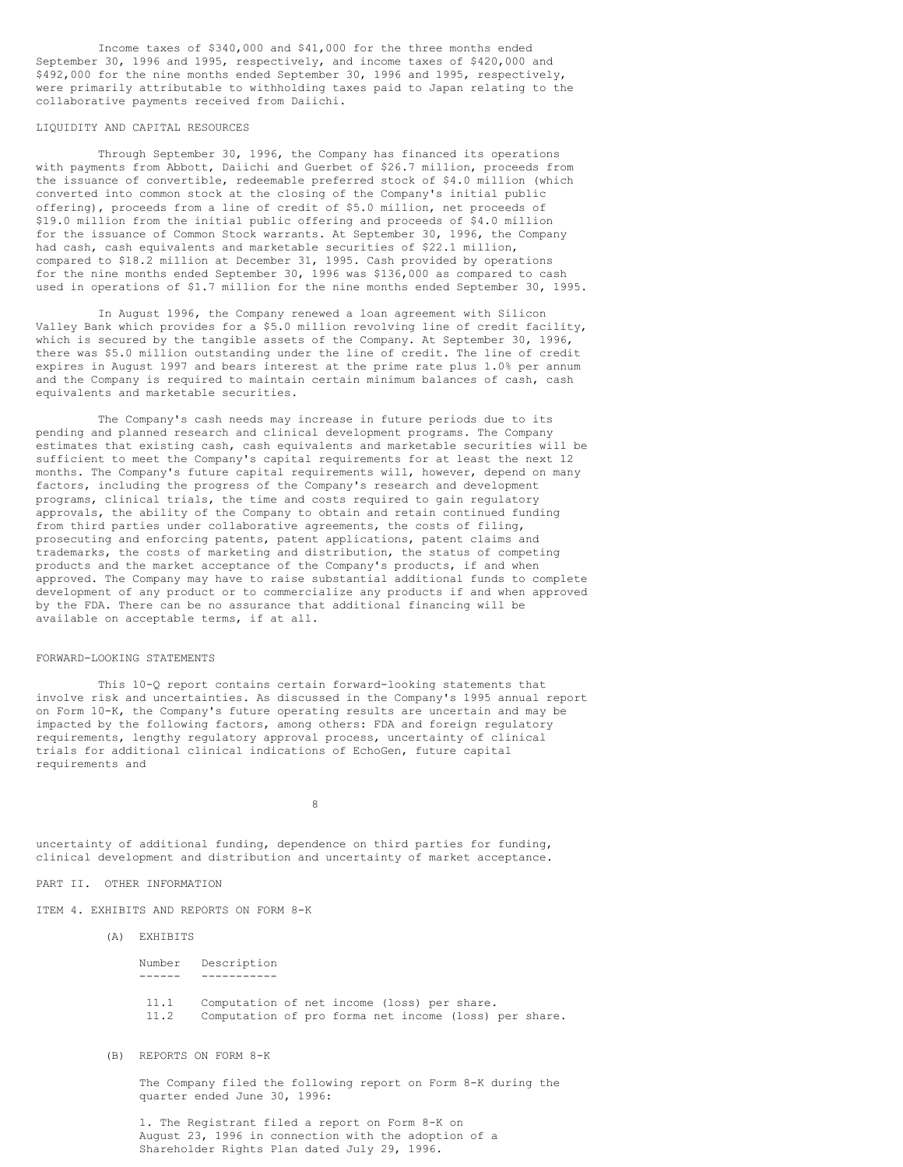Income taxes of \$340,000 and \$41,000 for the three months ended September 30, 1996 and 1995, respectively, and income taxes of \$420,000 and \$492,000 for the nine months ended September 30, 1996 and 1995, respectively, were primarily attributable to withholding taxes paid to Japan relating to the collaborative payments received from Daiichi.

### LIQUIDITY AND CAPITAL RESOURCES

Through September 30, 1996, the Company has financed its operations with payments from Abbott, Daiichi and Guerbet of \$26.7 million, proceeds from the issuance of convertible, redeemable preferred stock of \$4.0 million (which converted into common stock at the closing of the Company's initial public offering), proceeds from a line of credit of \$5.0 million, net proceeds of \$19.0 million from the initial public offering and proceeds of \$4.0 million for the issuance of Common Stock warrants. At September 30, 1996, the Company had cash, cash equivalents and marketable securities of \$22.1 million, compared to \$18.2 million at December 31, 1995. Cash provided by operations for the nine months ended September 30, 1996 was \$136,000 as compared to cash used in operations of \$1.7 million for the nine months ended September 30, 1995.

In August 1996, the Company renewed a loan agreement with Silicon Valley Bank which provides for a \$5.0 million revolving line of credit facility, which is secured by the tangible assets of the Company. At September 30, 1996, there was \$5.0 million outstanding under the line of credit. The line of credit expires in August 1997 and bears interest at the prime rate plus 1.0% per annum and the Company is required to maintain certain minimum balances of cash, cash equivalents and marketable securities.

The Company's cash needs may increase in future periods due to its pending and planned research and clinical development programs. The Company estimates that existing cash, cash equivalents and marketable securities will be sufficient to meet the Company's capital requirements for at least the next 12 months. The Company's future capital requirements will, however, depend on many factors, including the progress of the Company's research and development programs, clinical trials, the time and costs required to gain regulatory approvals, the ability of the Company to obtain and retain continued funding from third parties under collaborative agreements, the costs of filing, prosecuting and enforcing patents, patent applications, patent claims and trademarks, the costs of marketing and distribution, the status of competing products and the market acceptance of the Company's products, if and when approved. The Company may have to raise substantial additional funds to complete development of any product or to commercialize any products if and when approved by the FDA. There can be no assurance that additional financing will be available on acceptable terms, if at all.

#### FORWARD-LOOKING STATEMENTS

This 10-Q report contains certain forward-looking statements that involve risk and uncertainties. As discussed in the Company's 1995 annual report on Form 10-K, the Company's future operating results are uncertain and may be impacted by the following factors, among others: FDA and foreign regulatory requirements, lengthy regulatory approval process, uncertainty of clinical trials for additional clinical indications of EchoGen, future capital requirements and

8

uncertainty of additional funding, dependence on third parties for funding, clinical development and distribution and uncertainty of market acceptance.

## PART II. OTHER INFORMATION

ITEM 4. EXHIBITS AND REPORTS ON FORM 8-K

#### (A) EXHIBITS

Number Description ------ -----------

11.1 Computation of net income (loss) per share. 11.2 Computation of pro forma net income (loss) per share.

(B) REPORTS ON FORM 8-K

The Company filed the following report on Form 8-K during the quarter ended June 30, 1996:

1. The Registrant filed a report on Form 8-K on August 23, 1996 in connection with the adoption of a Shareholder Rights Plan dated July 29, 1996.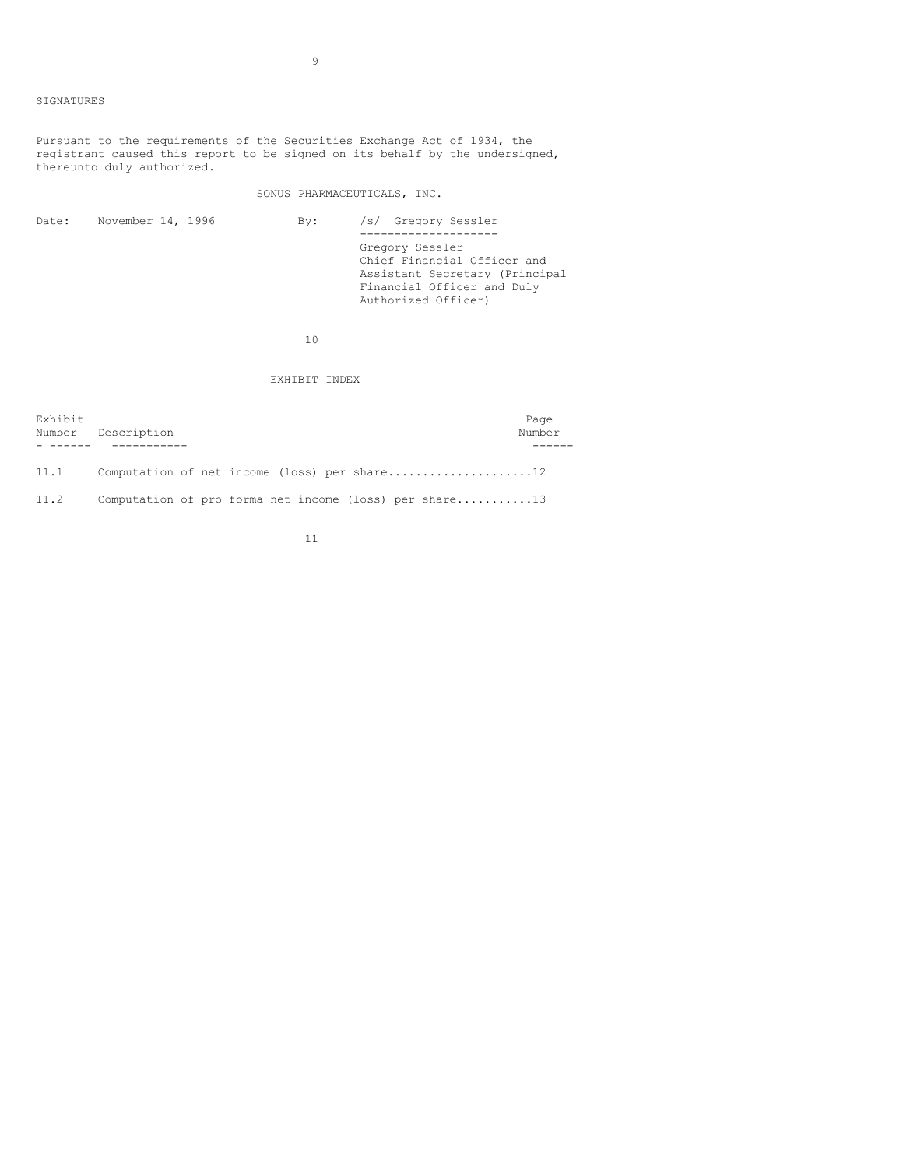### SIGNATURES

Pursuant to the requirements of the Securities Exchange Act of 1934, the registrant caused this report to be signed on its behalf by the undersigned, thereunto duly authorized.

# SONUS PHARMACEUTICALS, INC.

| Date: | November 14, 1996 | Bv: | /s/ Gregory Sessler                                                                                                                   |
|-------|-------------------|-----|---------------------------------------------------------------------------------------------------------------------------------------|
|       |                   |     | Gregory Sessler<br>Chief Financial Officer and<br>Assistant Secretary (Principal<br>Financial Officer and Duly<br>Authorized Officer) |

10

EXHIBIT INDEX

| Exhibit | Number Description                                     | Page<br>Number |
|---------|--------------------------------------------------------|----------------|
| 11.1    |                                                        |                |
| 11.2    | Computation of pro forma net income (loss) per share13 |                |

11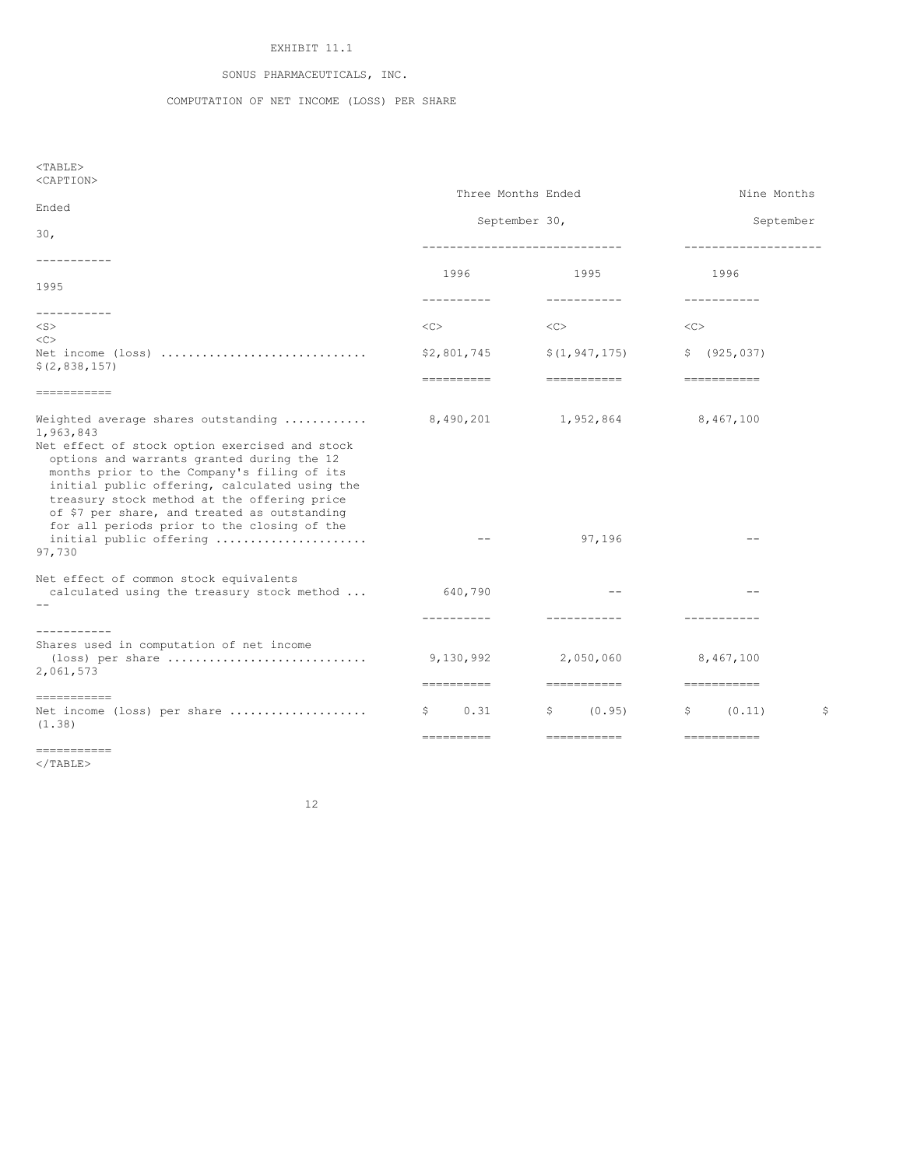# EXHIBIT 11.1

# SONUS PHARMACEUTICALS, INC.

## COMPUTATION OF NET INCOME (LOSS) PER SHARE

 $<$ TABLE $>$ <CAPTION>

| Ended                                                                                                                                                                                                                                                                                    | Three Months Ended  | Nine Months                                                                                                                                                                                                                                                                                                                                                                                                                                                                                                                                                |                      |    |
|------------------------------------------------------------------------------------------------------------------------------------------------------------------------------------------------------------------------------------------------------------------------------------------|---------------------|------------------------------------------------------------------------------------------------------------------------------------------------------------------------------------------------------------------------------------------------------------------------------------------------------------------------------------------------------------------------------------------------------------------------------------------------------------------------------------------------------------------------------------------------------------|----------------------|----|
| 30 <sub>1</sub>                                                                                                                                                                                                                                                                          | September 30,       |                                                                                                                                                                                                                                                                                                                                                                                                                                                                                                                                                            | September            |    |
| -----------                                                                                                                                                                                                                                                                              |                     | ------------------------------                                                                                                                                                                                                                                                                                                                                                                                                                                                                                                                             | -------------------- |    |
| 1995                                                                                                                                                                                                                                                                                     | 1996                | 1995                                                                                                                                                                                                                                                                                                                                                                                                                                                                                                                                                       | 1996                 |    |
| -----------                                                                                                                                                                                                                                                                              | ----------          | -----------                                                                                                                                                                                                                                                                                                                                                                                                                                                                                                                                                | -----------          |    |
| $<$ S $>$<br><<>                                                                                                                                                                                                                                                                         | $<<$ $<$ $>$        | <<                                                                                                                                                                                                                                                                                                                                                                                                                                                                                                                                                         | <<                   |    |
| Net income $(\text{loss})$<br>\$(2, 838, 157)                                                                                                                                                                                                                                            | \$2,801,745         | \$(1, 947, 175)                                                                                                                                                                                                                                                                                                                                                                                                                                                                                                                                            | \$ (925, 037)        |    |
| ===========                                                                                                                                                                                                                                                                              |                     | $\begin{tabular}{ll} \multicolumn{3}{l}{{\color{red}\boldsymbol{=}}} & \multicolumn{3}{l}{\color{blue}\boldsymbol{=}} & \multicolumn{3}{l}{\color{blue}\boldsymbol{=}} & \multicolumn{3}{l}{\color{blue}\boldsymbol{=}} & \multicolumn{3}{l}{\color{blue}\boldsymbol{=}} & \multicolumn{3}{l}{\color{blue}\boldsymbol{=}} & \multicolumn{3}{l}{\color{blue}\boldsymbol{=}} & \multicolumn{3}{l}{\color{blue}\boldsymbol{=}} & \multicolumn{3}{l}{\color{blue}\boldsymbol{=}} & \multicolumn{3}{l}{\color{blue}\boldsymbol{=}} & \multicolumn{3}{l}{\color$ | ===========          |    |
| Weighted average shares outstanding<br>1,963,843<br>Net effect of stock option exercised and stock                                                                                                                                                                                       | 8,490,201           | 1,952,864                                                                                                                                                                                                                                                                                                                                                                                                                                                                                                                                                  | 8,467,100            |    |
| options and warrants granted during the 12<br>months prior to the Company's filing of its<br>initial public offering, calculated using the<br>treasury stock method at the offering price<br>of \$7 per share, and treated as outstanding<br>for all periods prior to the closing of the |                     |                                                                                                                                                                                                                                                                                                                                                                                                                                                                                                                                                            |                      |    |
| initial public offering<br>97,730                                                                                                                                                                                                                                                        | $- -$               | 97,196                                                                                                                                                                                                                                                                                                                                                                                                                                                                                                                                                     |                      |    |
| Net effect of common stock equivalents<br>calculated using the treasury stock method                                                                                                                                                                                                     | 640,790             |                                                                                                                                                                                                                                                                                                                                                                                                                                                                                                                                                            |                      |    |
| -----------                                                                                                                                                                                                                                                                              | . _ _ _ _ _ _ _ _ _ |                                                                                                                                                                                                                                                                                                                                                                                                                                                                                                                                                            |                      |    |
| Shares used in computation of net income<br>$(\text{loss})$ per share<br>2,061,573                                                                                                                                                                                                       | 9,130,992           | 2,050,060                                                                                                                                                                                                                                                                                                                                                                                                                                                                                                                                                  | 8,467,100            |    |
| ===========                                                                                                                                                                                                                                                                              | ==========          | -----------                                                                                                                                                                                                                                                                                                                                                                                                                                                                                                                                                |                      |    |
| Net income (loss) per share<br>(1, 38)                                                                                                                                                                                                                                                   | 0.31<br>Ş.          | \$<br>(0.95)                                                                                                                                                                                                                                                                                                                                                                                                                                                                                                                                               | (0.11)<br>Ş.         | \$ |
| ------------                                                                                                                                                                                                                                                                             | ==========          |                                                                                                                                                                                                                                                                                                                                                                                                                                                                                                                                                            | ===========          |    |

 $<$ /TABLE>

12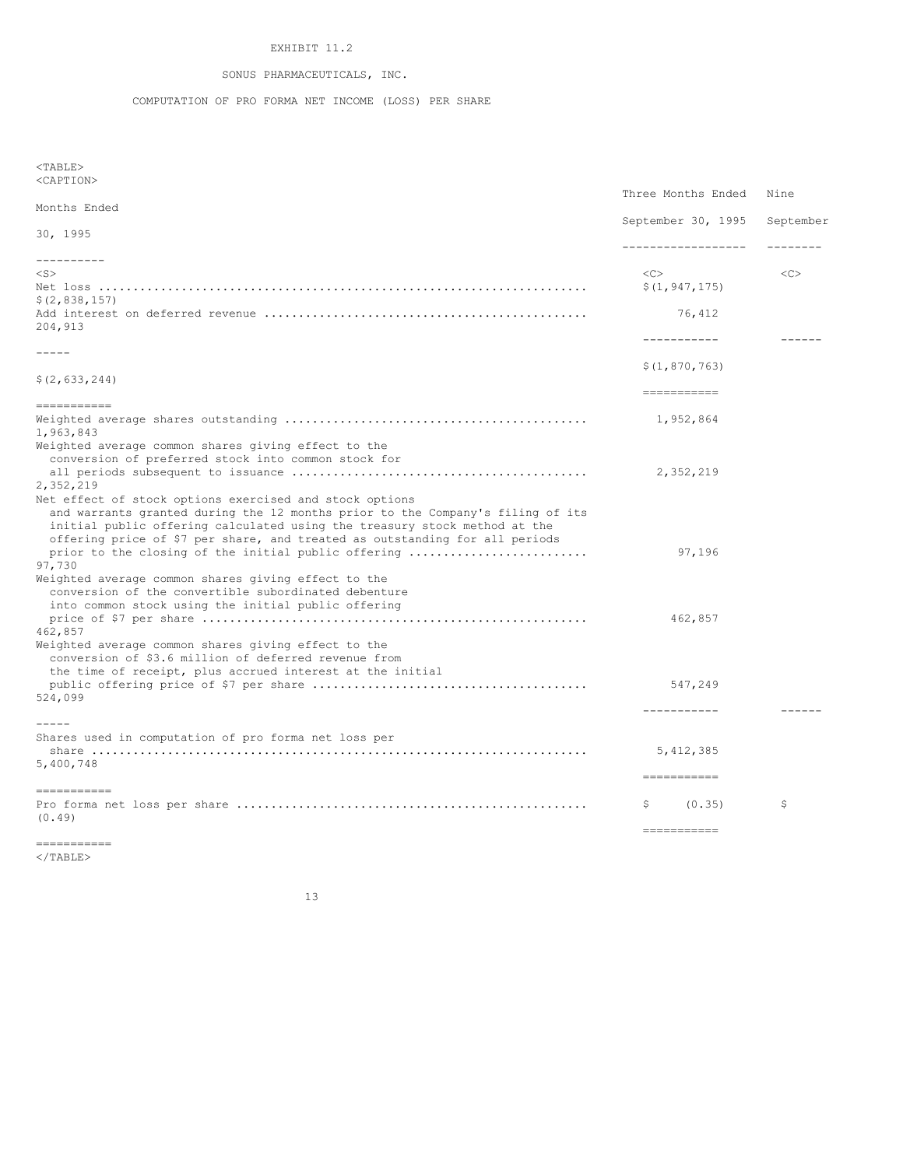# EXHIBIT 11.2

# SONUS PHARMACEUTICALS, INC.

COMPUTATION OF PRO FORMA NET INCOME (LOSS) PER SHARE

 $<$ TABLE $>$ <CAPTION>

|                                                                                | Three Months Ended           | Nine          |
|--------------------------------------------------------------------------------|------------------------------|---------------|
| Months Ended                                                                   |                              |               |
| 30, 1995                                                                       | September 30, 1995 September |               |
|                                                                                | . <u>.</u>                   |               |
| -----------                                                                    |                              |               |
| $<$ S $>$                                                                      | <<                           | < <sub></sub> |
|                                                                                | \$(1, 947, 175)              |               |
| \$(2,838,157)                                                                  |                              |               |
| 204,913                                                                        | 76,412                       |               |
|                                                                                | -----------                  |               |
| $- - - - -$                                                                    |                              |               |
|                                                                                | \$(1, 870, 763)              |               |
| \$(2, 633, 244)                                                                |                              |               |
|                                                                                | ===========                  |               |
| $=$ = = = = = = = = = = =                                                      |                              |               |
| 1,963,843                                                                      | 1,952,864                    |               |
| Weighted average common shares giving effect to the                            |                              |               |
| conversion of preferred stock into common stock for                            |                              |               |
| 2,352,219                                                                      | 2,352,219                    |               |
| Net effect of stock options exercised and stock options                        |                              |               |
| and warrants granted during the 12 months prior to the Company's filing of its |                              |               |
| initial public offering calculated using the treasury stock method at the      |                              |               |
| offering price of \$7 per share, and treated as outstanding for all periods    |                              |               |
| prior to the closing of the initial public offering<br>97,730                  | 97,196                       |               |
| Weighted average common shares giving effect to the                            |                              |               |
| conversion of the convertible subordinated debenture                           |                              |               |
| into common stock using the initial public offering                            |                              |               |
| 462,857                                                                        | 462,857                      |               |
| Weighted average common shares giving effect to the                            |                              |               |
| conversion of \$3.6 million of deferred revenue from                           |                              |               |
| the time of receipt, plus accrued interest at the initial                      |                              |               |
| 524,099                                                                        | 547,249                      |               |
|                                                                                | -----------                  |               |
|                                                                                |                              |               |
| Shares used in computation of pro forma net loss per                           | 5,412,385                    |               |
| 5,400,748                                                                      |                              |               |
| ===========                                                                    | ===========                  |               |
|                                                                                | (0.35)<br>Ş.                 | \$.           |
| (0.49)                                                                         |                              |               |
|                                                                                | ===========                  |               |

 $<$ /TABLE>

===========

13